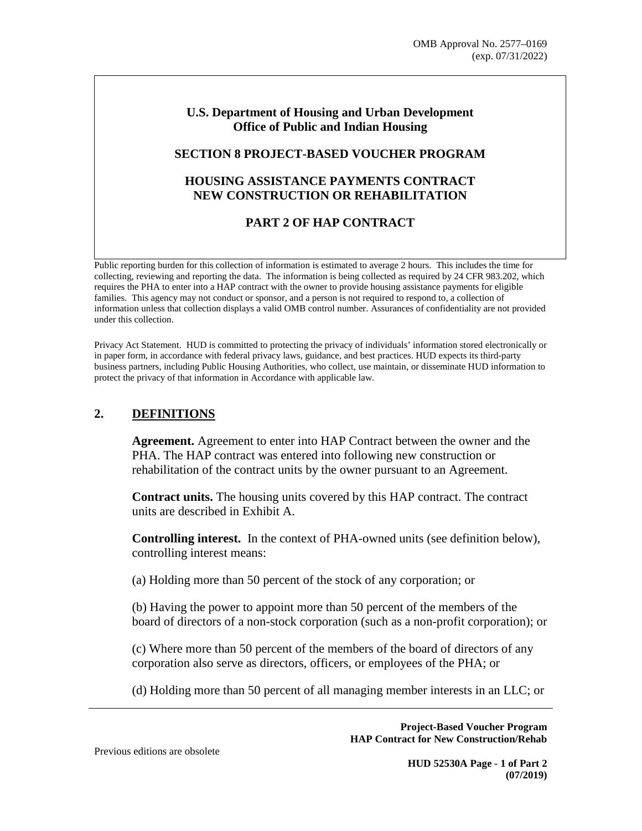#### **U.S. Department of Housing and Urban Development Office of Public and Indian Housing**

#### **SECTION 8 PROJECT-BASED VOUCHER PROGRAM**

# **HOUSING ASSISTANCE PAYMENTS CONTRACT NEW CONSTRUCTION OR REHABILITATION**

# **PART 2 OF HAP CONTRACT**

Public reporting burden for this collection of information is estimated to average 2 hours. This includes the time for collecting, reviewing and reporting the data. The information is being collected as required by 24 CFR 983.202, which requires the PHA to enter into a HAP contract with the owner to provide housing assistance payments for eligible families. This agency may not conduct or sponsor, and a person is not required to respond to, a collection of information unless that collection displays a valid OMB control number. Assurances of confidentiality are not provided under this collection.

Privacy Act Statement. HUD is committed to protecting the privacy of individuals' information stored electronically or in paper form, in accordance with federal privacy laws, guidance, and best practices. HUD expects its third-party business partners, including Public Housing Authorities, who collect, use maintain, or disseminate HUD information to protect the privacy of that information in Accordance with applicable law.

# **2. DEFINITIONS**

**Agreement.** Agreement to enter into HAP Contract between the owner and the PHA. The HAP contract was entered into following new construction or rehabilitation of the contract units by the owner pursuant to an Agreement.

**Contract units.** The housing units covered by this HAP contract. The contract units are described in Exhibit A.

**Controlling interest.** In the context of PHA-owned units (see definition below), controlling interest means:

(a) Holding more than 50 percent of the stock of any corporation; or

(b) Having the power to appoint more than 50 percent of the members of the board of directors of a non-stock corporation (such as a non-profit corporation); or

(c) Where more than 50 percent of the members of the board of directors of any corporation also serve as directors, officers, or employees of the PHA; or

(d) Holding more than 50 percent of all managing member interests in an LLC; or

**Project-Based Voucher Program HAP Contract for New Construction/Rehab** 

Previous editions are obsolete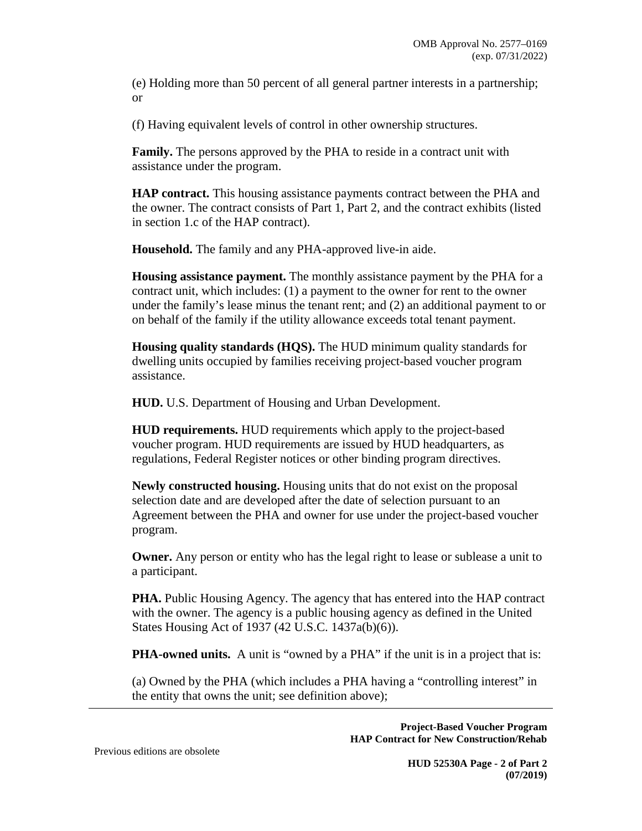(e) Holding more than 50 percent of all general partner interests in a partnership; or

(f) Having equivalent levels of control in other ownership structures.

**Family.** The persons approved by the PHA to reside in a contract unit with assistance under the program.

**HAP contract.** This housing assistance payments contract between the PHA and the owner. The contract consists of Part 1, Part 2, and the contract exhibits (listed in section 1.c of the HAP contract).

**Household.** The family and any PHA-approved live-in aide.

**Housing assistance payment.** The monthly assistance payment by the PHA for a contract unit, which includes: (1) a payment to the owner for rent to the owner under the family's lease minus the tenant rent; and (2) an additional payment to or on behalf of the family if the utility allowance exceeds total tenant payment.

**Housing quality standards (HQS).** The HUD minimum quality standards for dwelling units occupied by families receiving project-based voucher program assistance.

**HUD.** U.S. Department of Housing and Urban Development.

**HUD requirements.** HUD requirements which apply to the project-based voucher program. HUD requirements are issued by HUD headquarters, as regulations, Federal Register notices or other binding program directives.

**Newly constructed housing.** Housing units that do not exist on the proposal selection date and are developed after the date of selection pursuant to an Agreement between the PHA and owner for use under the project-based voucher program.

**Owner.** Any person or entity who has the legal right to lease or sublease a unit to a participant.

**PHA.** Public Housing Agency. The agency that has entered into the HAP contract with the owner. The agency is a public housing agency as defined in the United States Housing Act of 1937 (42 U.S.C. 1437a(b)(6)).

**PHA-owned units.** A unit is "owned by a PHA" if the unit is in a project that is:

(a) Owned by the PHA (which includes a PHA having a "controlling interest" in the entity that owns the unit; see definition above);

> **Project-Based Voucher Program HAP Contract for New Construction/Rehab**

Previous editions are obsolete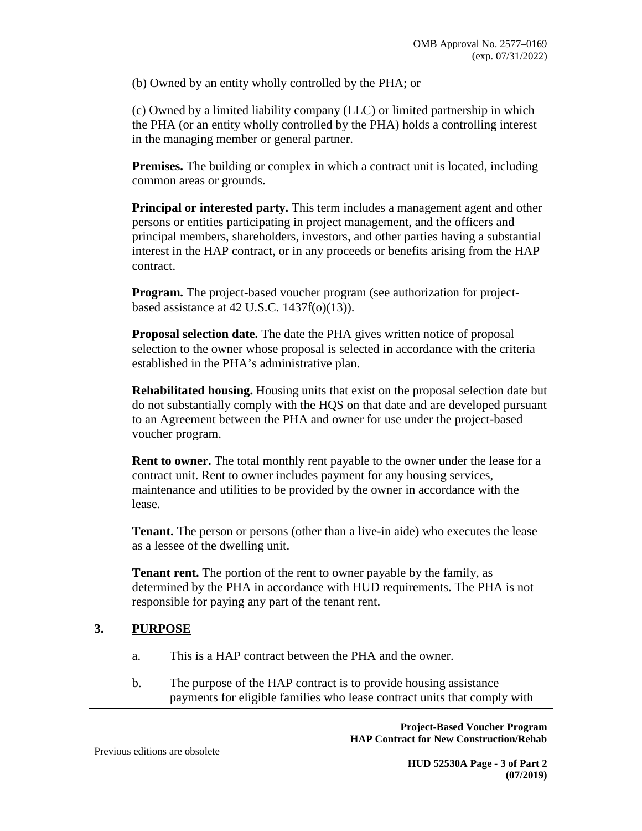(b) Owned by an entity wholly controlled by the PHA; or

(c) Owned by a limited liability company (LLC) or limited partnership in which the PHA (or an entity wholly controlled by the PHA) holds a controlling interest in the managing member or general partner.

**Premises.** The building or complex in which a contract unit is located, including common areas or grounds.

**Principal or interested party.** This term includes a management agent and other persons or entities participating in project management, and the officers and principal members, shareholders, investors, and other parties having a substantial interest in the HAP contract, or in any proceeds or benefits arising from the HAP contract.

**Program.** The project-based voucher program (see authorization for projectbased assistance at 42 U.S.C.  $1437f(o)(13)$ ).

**Proposal selection date.** The date the PHA gives written notice of proposal selection to the owner whose proposal is selected in accordance with the criteria established in the PHA's administrative plan.

**Rehabilitated housing.** Housing units that exist on the proposal selection date but do not substantially comply with the HQS on that date and are developed pursuant to an Agreement between the PHA and owner for use under the project-based voucher program.

**Rent to owner.** The total monthly rent payable to the owner under the lease for a contract unit. Rent to owner includes payment for any housing services, maintenance and utilities to be provided by the owner in accordance with the lease.

**Tenant.** The person or persons (other than a live-in aide) who executes the lease as a lessee of the dwelling unit.

**Tenant rent.** The portion of the rent to owner payable by the family, as determined by the PHA in accordance with HUD requirements. The PHA is not responsible for paying any part of the tenant rent.

#### **3. PURPOSE**

- a. This is a HAP contract between the PHA and the owner.
- b. The purpose of the HAP contract is to provide housing assistance payments for eligible families who lease contract units that comply with

**Project-Based Voucher Program HAP Contract for New Construction/Rehab** 

Previous editions are obsolete

**HUD 52530A Page - 3 of Part 2 (07/2019)**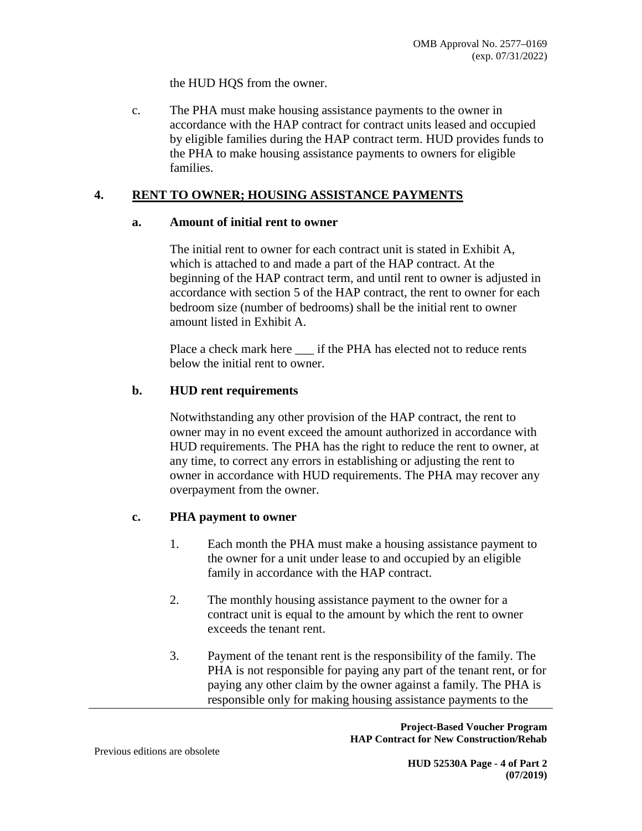the HUD HQS from the owner.

c. The PHA must make housing assistance payments to the owner in accordance with the HAP contract for contract units leased and occupied by eligible families during the HAP contract term. HUD provides funds to the PHA to make housing assistance payments to owners for eligible families.

### **4. RENT TO OWNER; HOUSING ASSISTANCE PAYMENTS**

#### **a. Amount of initial rent to owner**

The initial rent to owner for each contract unit is stated in Exhibit A, which is attached to and made a part of the HAP contract. At the beginning of the HAP contract term, and until rent to owner is adjusted in accordance with section 5 of the HAP contract, the rent to owner for each bedroom size (number of bedrooms) shall be the initial rent to owner amount listed in Exhibit A.

Place a check mark here \_\_\_ if the PHA has elected not to reduce rents below the initial rent to owner.

### **b. HUD rent requirements**

Notwithstanding any other provision of the HAP contract, the rent to owner may in no event exceed the amount authorized in accordance with HUD requirements. The PHA has the right to reduce the rent to owner, at any time, to correct any errors in establishing or adjusting the rent to owner in accordance with HUD requirements. The PHA may recover any overpayment from the owner.

#### **c. PHA payment to owner**

- 1. Each month the PHA must make a housing assistance payment to the owner for a unit under lease to and occupied by an eligible family in accordance with the HAP contract.
- 2. The monthly housing assistance payment to the owner for a contract unit is equal to the amount by which the rent to owner exceeds the tenant rent.
- 3. Payment of the tenant rent is the responsibility of the family. The PHA is not responsible for paying any part of the tenant rent, or for paying any other claim by the owner against a family. The PHA is responsible only for making housing assistance payments to the

**Project-Based Voucher Program HAP Contract for New Construction/Rehab** 

Previous editions are obsolete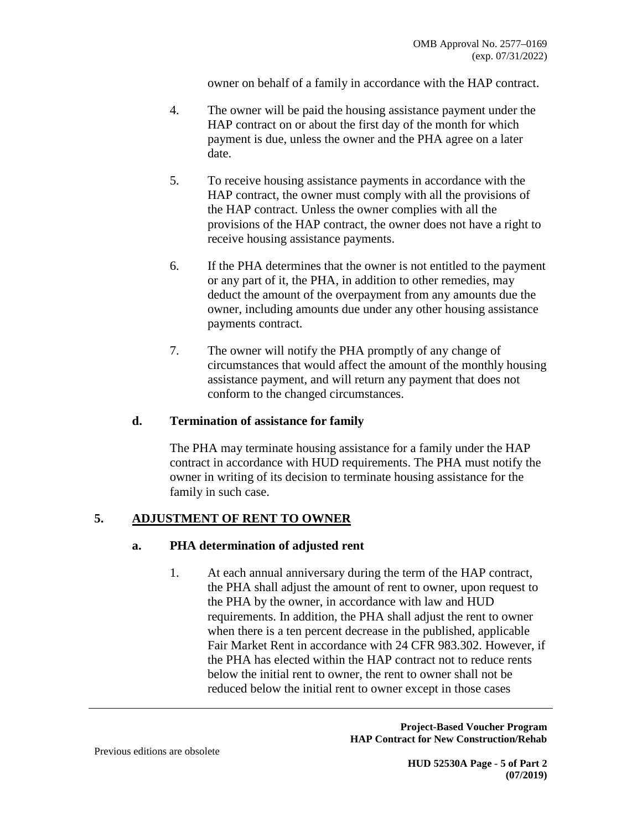owner on behalf of a family in accordance with the HAP contract.

- 4. The owner will be paid the housing assistance payment under the HAP contract on or about the first day of the month for which payment is due, unless the owner and the PHA agree on a later date.
- 5. To receive housing assistance payments in accordance with the HAP contract, the owner must comply with all the provisions of the HAP contract. Unless the owner complies with all the provisions of the HAP contract, the owner does not have a right to receive housing assistance payments.
- 6. If the PHA determines that the owner is not entitled to the payment or any part of it, the PHA, in addition to other remedies, may deduct the amount of the overpayment from any amounts due the owner, including amounts due under any other housing assistance payments contract.
- 7. The owner will notify the PHA promptly of any change of circumstances that would affect the amount of the monthly housing assistance payment, and will return any payment that does not conform to the changed circumstances.

#### **d. Termination of assistance for family**

The PHA may terminate housing assistance for a family under the HAP contract in accordance with HUD requirements. The PHA must notify the owner in writing of its decision to terminate housing assistance for the family in such case.

## **5. ADJUSTMENT OF RENT TO OWNER**

#### **a. PHA determination of adjusted rent**

1. At each annual anniversary during the term of the HAP contract, the PHA shall adjust the amount of rent to owner, upon request to the PHA by the owner, in accordance with law and HUD requirements. In addition, the PHA shall adjust the rent to owner when there is a ten percent decrease in the published, applicable Fair Market Rent in accordance with 24 CFR 983.302. However, if the PHA has elected within the HAP contract not to reduce rents below the initial rent to owner, the rent to owner shall not be reduced below the initial rent to owner except in those cases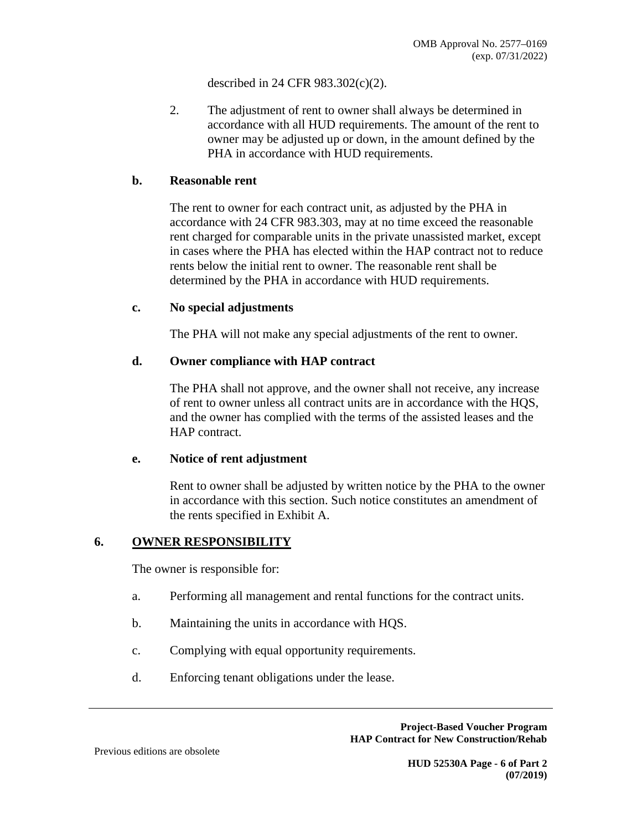described in 24 CFR 983.302(c)(2).

2. The adjustment of rent to owner shall always be determined in accordance with all HUD requirements. The amount of the rent to owner may be adjusted up or down, in the amount defined by the PHA in accordance with HUD requirements.

#### **b. Reasonable rent**

The rent to owner for each contract unit, as adjusted by the PHA in accordance with 24 CFR 983.303, may at no time exceed the reasonable rent charged for comparable units in the private unassisted market, except in cases where the PHA has elected within the HAP contract not to reduce rents below the initial rent to owner. The reasonable rent shall be determined by the PHA in accordance with HUD requirements.

#### **c. No special adjustments**

The PHA will not make any special adjustments of the rent to owner.

#### **d. Owner compliance with HAP contract**

The PHA shall not approve, and the owner shall not receive, any increase of rent to owner unless all contract units are in accordance with the HQS, and the owner has complied with the terms of the assisted leases and the HAP contract.

#### **e. Notice of rent adjustment**

Rent to owner shall be adjusted by written notice by the PHA to the owner in accordance with this section. Such notice constitutes an amendment of the rents specified in Exhibit A.

#### **6. OWNER RESPONSIBILITY**

The owner is responsible for:

- a. Performing all management and rental functions for the contract units.
- b. Maintaining the units in accordance with HQS.
- c. Complying with equal opportunity requirements.
- d. Enforcing tenant obligations under the lease.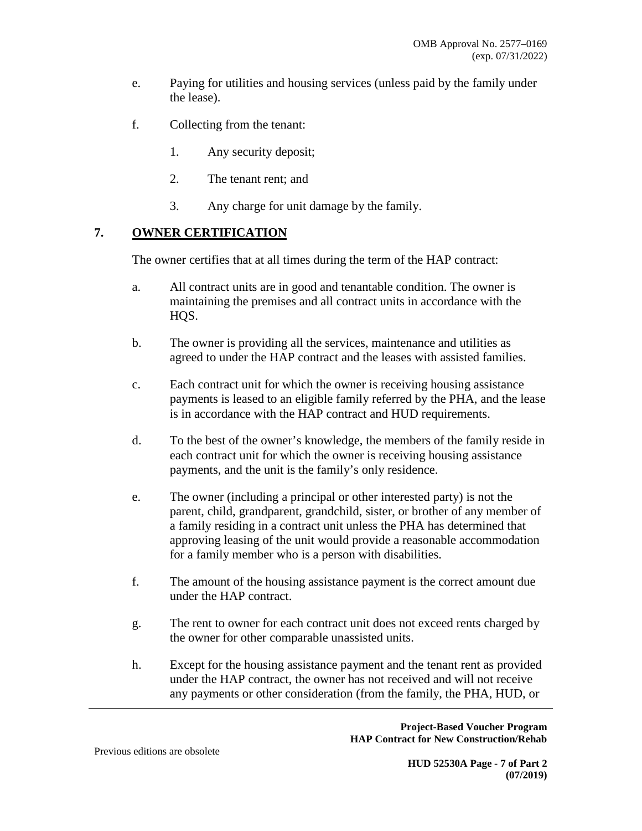- e. Paying for utilities and housing services (unless paid by the family under the lease).
- f. Collecting from the tenant:
	- 1. Any security deposit;
	- 2. The tenant rent; and
	- 3. Any charge for unit damage by the family.

## **7. OWNER CERTIFICATION**

The owner certifies that at all times during the term of the HAP contract:

- a. All contract units are in good and tenantable condition. The owner is maintaining the premises and all contract units in accordance with the HQS.
- b. The owner is providing all the services, maintenance and utilities as agreed to under the HAP contract and the leases with assisted families.
- c. Each contract unit for which the owner is receiving housing assistance payments is leased to an eligible family referred by the PHA, and the lease is in accordance with the HAP contract and HUD requirements.
- d. To the best of the owner's knowledge, the members of the family reside in each contract unit for which the owner is receiving housing assistance payments, and the unit is the family's only residence.
- e. The owner (including a principal or other interested party) is not the parent, child, grandparent, grandchild, sister, or brother of any member of a family residing in a contract unit unless the PHA has determined that approving leasing of the unit would provide a reasonable accommodation for a family member who is a person with disabilities.
- f. The amount of the housing assistance payment is the correct amount due under the HAP contract.
- g. The rent to owner for each contract unit does not exceed rents charged by the owner for other comparable unassisted units.
- h. Except for the housing assistance payment and the tenant rent as provided under the HAP contract, the owner has not received and will not receive any payments or other consideration (from the family, the PHA, HUD, or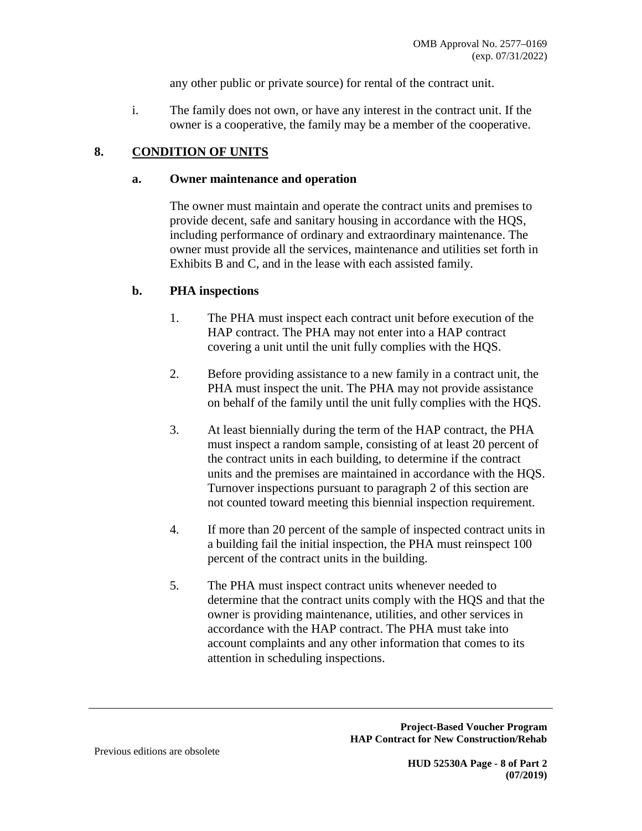any other public or private source) for rental of the contract unit.

i. The family does not own, or have any interest in the contract unit. If the owner is a cooperative, the family may be a member of the cooperative.

### **8. CONDITION OF UNITS**

#### **a. Owner maintenance and operation**

The owner must maintain and operate the contract units and premises to provide decent, safe and sanitary housing in accordance with the HQS, including performance of ordinary and extraordinary maintenance. The owner must provide all the services, maintenance and utilities set forth in Exhibits B and C, and in the lease with each assisted family.

#### **b. PHA inspections**

- 1. The PHA must inspect each contract unit before execution of the HAP contract. The PHA may not enter into a HAP contract covering a unit until the unit fully complies with the HQS.
- 2. Before providing assistance to a new family in a contract unit, the PHA must inspect the unit. The PHA may not provide assistance on behalf of the family until the unit fully complies with the HQS.
- 3. At least biennially during the term of the HAP contract, the PHA must inspect a random sample, consisting of at least 20 percent of the contract units in each building, to determine if the contract units and the premises are maintained in accordance with the HQS. Turnover inspections pursuant to paragraph 2 of this section are not counted toward meeting this biennial inspection requirement.
- 4. If more than 20 percent of the sample of inspected contract units in a building fail the initial inspection, the PHA must reinspect 100 percent of the contract units in the building.
- 5. The PHA must inspect contract units whenever needed to determine that the contract units comply with the HQS and that the owner is providing maintenance, utilities, and other services in accordance with the HAP contract. The PHA must take into account complaints and any other information that comes to its attention in scheduling inspections.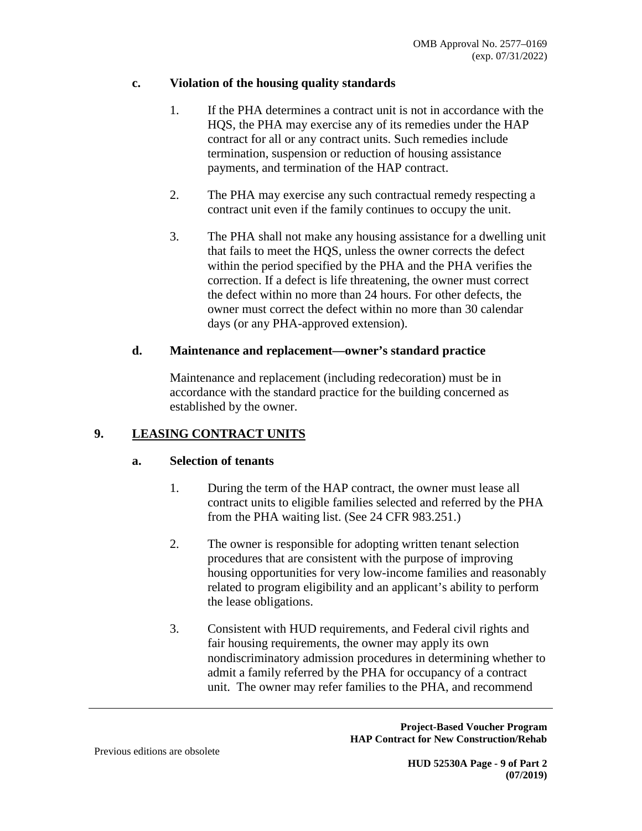## **c. Violation of the housing quality standards**

- 1. If the PHA determines a contract unit is not in accordance with the HQS, the PHA may exercise any of its remedies under the HAP contract for all or any contract units. Such remedies include termination, suspension or reduction of housing assistance payments, and termination of the HAP contract.
- 2. The PHA may exercise any such contractual remedy respecting a contract unit even if the family continues to occupy the unit.
- 3. The PHA shall not make any housing assistance for a dwelling unit that fails to meet the HQS, unless the owner corrects the defect within the period specified by the PHA and the PHA verifies the correction. If a defect is life threatening, the owner must correct the defect within no more than 24 hours. For other defects, the owner must correct the defect within no more than 30 calendar days (or any PHA-approved extension).

### **d. Maintenance and replacement—owner's standard practice**

Maintenance and replacement (including redecoration) must be in accordance with the standard practice for the building concerned as established by the owner.

## **9. LEASING CONTRACT UNITS**

## **a. Selection of tenants**

- 1. During the term of the HAP contract, the owner must lease all contract units to eligible families selected and referred by the PHA from the PHA waiting list. (See 24 CFR 983.251.)
- 2. The owner is responsible for adopting written tenant selection procedures that are consistent with the purpose of improving housing opportunities for very low-income families and reasonably related to program eligibility and an applicant's ability to perform the lease obligations.
- 3. Consistent with HUD requirements, and Federal civil rights and fair housing requirements, the owner may apply its own nondiscriminatory admission procedures in determining whether to admit a family referred by the PHA for occupancy of a contract unit. The owner may refer families to the PHA, and recommend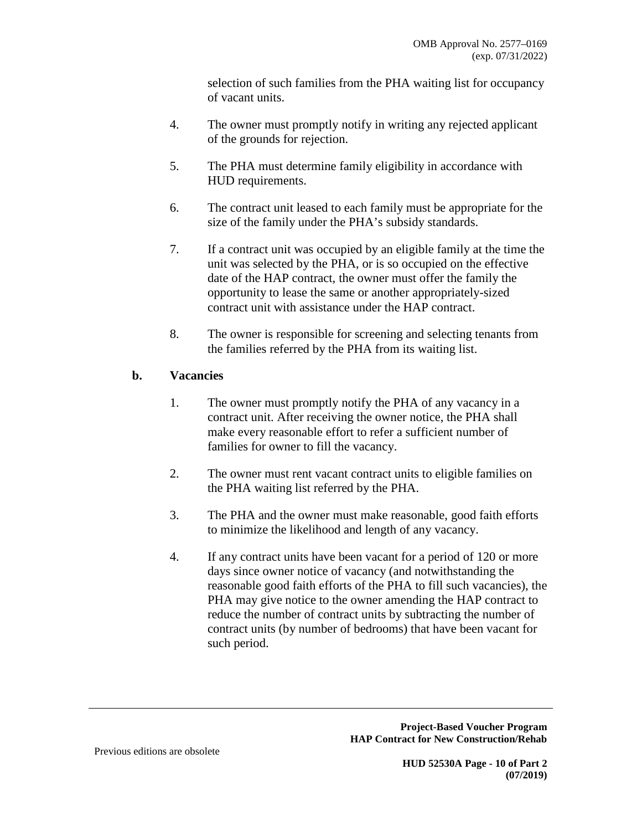selection of such families from the PHA waiting list for occupancy of vacant units.

- 4. The owner must promptly notify in writing any rejected applicant of the grounds for rejection.
- 5. The PHA must determine family eligibility in accordance with HUD requirements.
- 6. The contract unit leased to each family must be appropriate for the size of the family under the PHA's subsidy standards.
- 7. If a contract unit was occupied by an eligible family at the time the unit was selected by the PHA, or is so occupied on the effective date of the HAP contract, the owner must offer the family the opportunity to lease the same or another appropriately-sized contract unit with assistance under the HAP contract.
- 8. The owner is responsible for screening and selecting tenants from the families referred by the PHA from its waiting list.

# **b. Vacancies**

- 1. The owner must promptly notify the PHA of any vacancy in a contract unit. After receiving the owner notice, the PHA shall make every reasonable effort to refer a sufficient number of families for owner to fill the vacancy.
- 2. The owner must rent vacant contract units to eligible families on the PHA waiting list referred by the PHA.
- 3. The PHA and the owner must make reasonable, good faith efforts to minimize the likelihood and length of any vacancy.
- 4. If any contract units have been vacant for a period of 120 or more days since owner notice of vacancy (and notwithstanding the reasonable good faith efforts of the PHA to fill such vacancies), the PHA may give notice to the owner amending the HAP contract to reduce the number of contract units by subtracting the number of contract units (by number of bedrooms) that have been vacant for such period.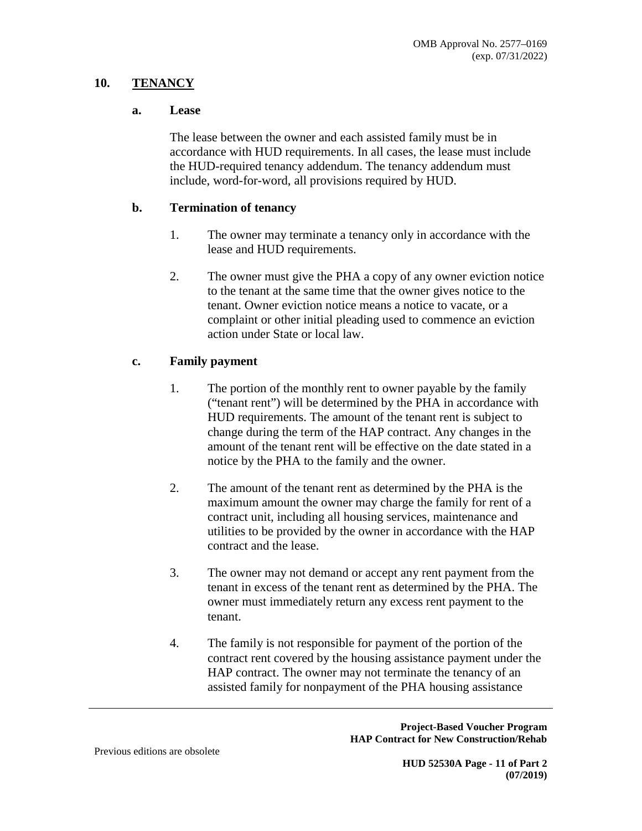### **10. TENANCY**

#### **a. Lease**

The lease between the owner and each assisted family must be in accordance with HUD requirements. In all cases, the lease must include the HUD-required tenancy addendum. The tenancy addendum must include, word-for-word, all provisions required by HUD.

#### **b. Termination of tenancy**

- 1. The owner may terminate a tenancy only in accordance with the lease and HUD requirements.
- 2. The owner must give the PHA a copy of any owner eviction notice to the tenant at the same time that the owner gives notice to the tenant. Owner eviction notice means a notice to vacate, or a complaint or other initial pleading used to commence an eviction action under State or local law.

## **c. Family payment**

- 1. The portion of the monthly rent to owner payable by the family ("tenant rent") will be determined by the PHA in accordance with HUD requirements. The amount of the tenant rent is subject to change during the term of the HAP contract. Any changes in the amount of the tenant rent will be effective on the date stated in a notice by the PHA to the family and the owner.
- 2. The amount of the tenant rent as determined by the PHA is the maximum amount the owner may charge the family for rent of a contract unit, including all housing services, maintenance and utilities to be provided by the owner in accordance with the HAP contract and the lease.
- 3. The owner may not demand or accept any rent payment from the tenant in excess of the tenant rent as determined by the PHA. The owner must immediately return any excess rent payment to the tenant.
- 4. The family is not responsible for payment of the portion of the contract rent covered by the housing assistance payment under the HAP contract. The owner may not terminate the tenancy of an assisted family for nonpayment of the PHA housing assistance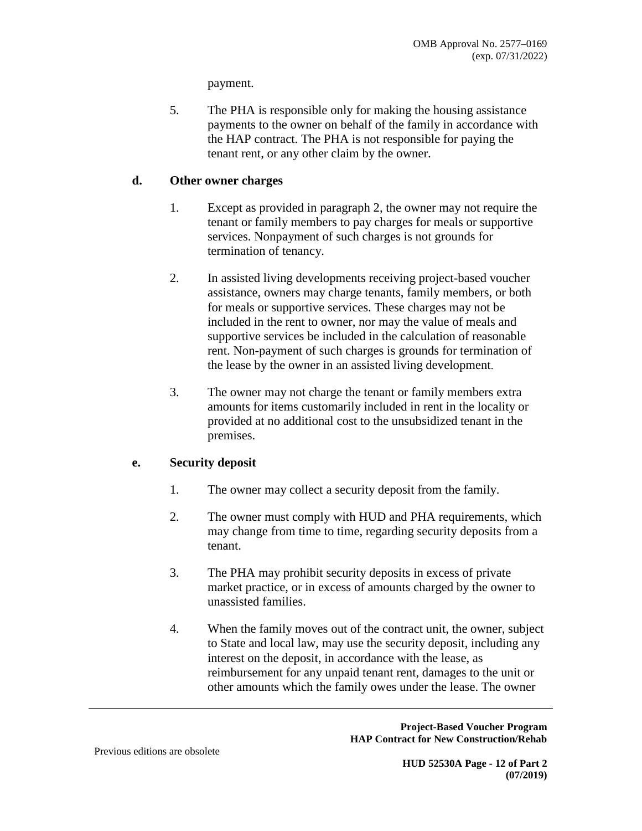payment.

5. The PHA is responsible only for making the housing assistance payments to the owner on behalf of the family in accordance with the HAP contract. The PHA is not responsible for paying the tenant rent, or any other claim by the owner.

### **d. Other owner charges**

- 1. Except as provided in paragraph 2, the owner may not require the tenant or family members to pay charges for meals or supportive services. Nonpayment of such charges is not grounds for termination of tenancy.
- 2. In assisted living developments receiving project-based voucher assistance, owners may charge tenants, family members, or both for meals or supportive services. These charges may not be included in the rent to owner, nor may the value of meals and supportive services be included in the calculation of reasonable rent. Non-payment of such charges is grounds for termination of the lease by the owner in an assisted living development.
- 3. The owner may not charge the tenant or family members extra amounts for items customarily included in rent in the locality or provided at no additional cost to the unsubsidized tenant in the premises.

## **e. Security deposit**

- 1. The owner may collect a security deposit from the family.
- 2. The owner must comply with HUD and PHA requirements, which may change from time to time, regarding security deposits from a tenant.
- 3. The PHA may prohibit security deposits in excess of private market practice, or in excess of amounts charged by the owner to unassisted families.
- 4. When the family moves out of the contract unit, the owner, subject to State and local law, may use the security deposit, including any interest on the deposit, in accordance with the lease, as reimbursement for any unpaid tenant rent, damages to the unit or other amounts which the family owes under the lease. The owner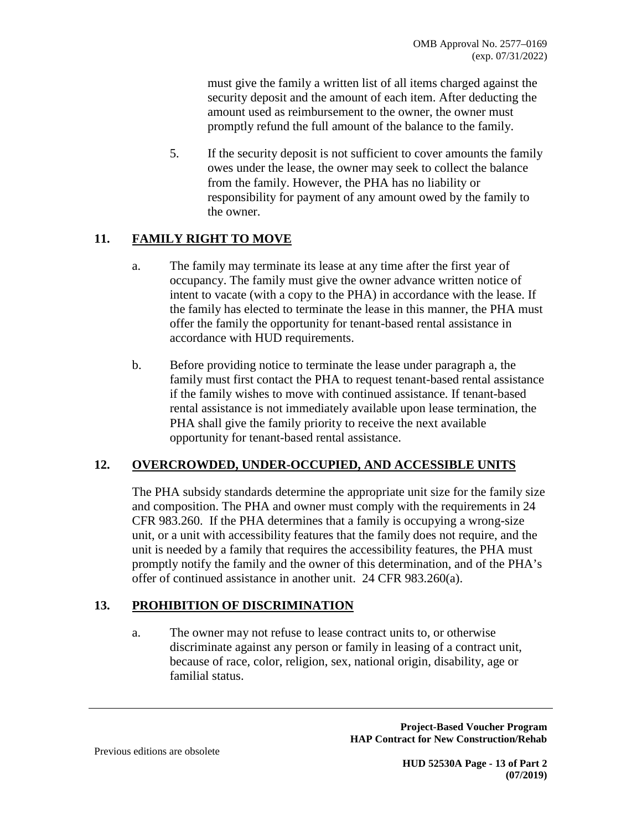must give the family a written list of all items charged against the security deposit and the amount of each item. After deducting the amount used as reimbursement to the owner, the owner must promptly refund the full amount of the balance to the family.

5. If the security deposit is not sufficient to cover amounts the family owes under the lease, the owner may seek to collect the balance from the family. However, the PHA has no liability or responsibility for payment of any amount owed by the family to the owner.

# **11. FAMILY RIGHT TO MOVE**

- a. The family may terminate its lease at any time after the first year of occupancy. The family must give the owner advance written notice of intent to vacate (with a copy to the PHA) in accordance with the lease. If the family has elected to terminate the lease in this manner, the PHA must offer the family the opportunity for tenant-based rental assistance in accordance with HUD requirements.
- b. Before providing notice to terminate the lease under paragraph a, the family must first contact the PHA to request tenant-based rental assistance if the family wishes to move with continued assistance. If tenant-based rental assistance is not immediately available upon lease termination, the PHA shall give the family priority to receive the next available opportunity for tenant-based rental assistance.

## **12. OVERCROWDED, UNDER-OCCUPIED, AND ACCESSIBLE UNITS**

The PHA subsidy standards determine the appropriate unit size for the family size and composition. The PHA and owner must comply with the requirements in 24 CFR 983.260. If the PHA determines that a family is occupying a wrong-size unit, or a unit with accessibility features that the family does not require, and the unit is needed by a family that requires the accessibility features, the PHA must promptly notify the family and the owner of this determination, and of the PHA's offer of continued assistance in another unit. 24 CFR 983.260(a).

## **13. PROHIBITION OF DISCRIMINATION**

a. The owner may not refuse to lease contract units to, or otherwise discriminate against any person or family in leasing of a contract unit, because of race, color, religion, sex, national origin, disability, age or familial status.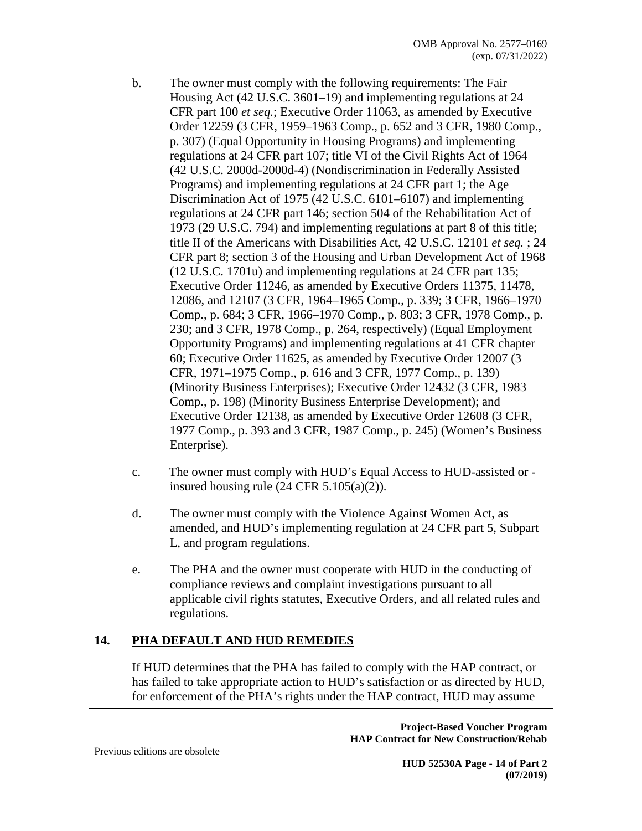- b. The owner must comply with the following requirements: The Fair Housing Act (42 U.S.C. 3601–19) and implementing regulations at 24 CFR part 100 *et seq.*; Executive Order 11063, as amended by Executive Order 12259 (3 CFR, 1959–1963 Comp., p. 652 and 3 CFR, 1980 Comp., p. 307) (Equal Opportunity in Housing Programs) and implementing regulations at 24 CFR part 107; title VI of the Civil Rights Act of 1964 (42 U.S.C. 2000d-2000d-4) (Nondiscrimination in Federally Assisted Programs) and implementing regulations at 24 CFR part 1; the Age Discrimination Act of 1975 (42 U.S.C. 6101–6107) and implementing regulations at 24 CFR part 146; section 504 of the Rehabilitation Act of 1973 (29 U.S.C. 794) and implementing regulations at part 8 of this title; title II of the Americans with Disabilities Act, 42 U.S.C. 12101 *et seq.* ; 24 CFR part 8; section 3 of the Housing and Urban Development Act of 1968 (12 U.S.C. 1701u) and implementing regulations at 24 CFR part 135; Executive Order 11246, as amended by Executive Orders 11375, 11478, 12086, and 12107 (3 CFR, 1964–1965 Comp., p. 339; 3 CFR, 1966–1970 Comp., p. 684; 3 CFR, 1966–1970 Comp., p. 803; 3 CFR, 1978 Comp., p. 230; and 3 CFR, 1978 Comp., p. 264, respectively) (Equal Employment Opportunity Programs) and implementing regulations at 41 CFR chapter 60; Executive Order 11625, as amended by Executive Order 12007 (3 CFR, 1971–1975 Comp., p. 616 and 3 CFR, 1977 Comp., p. 139) (Minority Business Enterprises); Executive Order 12432 (3 CFR, 1983 Comp., p. 198) (Minority Business Enterprise Development); and Executive Order 12138, as amended by Executive Order 12608 (3 CFR, 1977 Comp., p. 393 and 3 CFR, 1987 Comp., p. 245) (Women's Business Enterprise).
- c. The owner must comply with HUD's Equal Access to HUD-assisted or insured housing rule  $(24 \text{ CFR } 5.105(a)(2))$ .
- d. The owner must comply with the Violence Against Women Act, as amended, and HUD's implementing regulation at 24 CFR part 5, Subpart L, and program regulations.
- e. The PHA and the owner must cooperate with HUD in the conducting of compliance reviews and complaint investigations pursuant to all applicable civil rights statutes, Executive Orders, and all related rules and regulations.

## **14. PHA DEFAULT AND HUD REMEDIES**

If HUD determines that the PHA has failed to comply with the HAP contract, or has failed to take appropriate action to HUD's satisfaction or as directed by HUD, for enforcement of the PHA's rights under the HAP contract, HUD may assume

> **Project-Based Voucher Program HAP Contract for New Construction/Rehab**

Previous editions are obsolete

**HUD 52530A Page - 14 of Part 2 (07/2019)**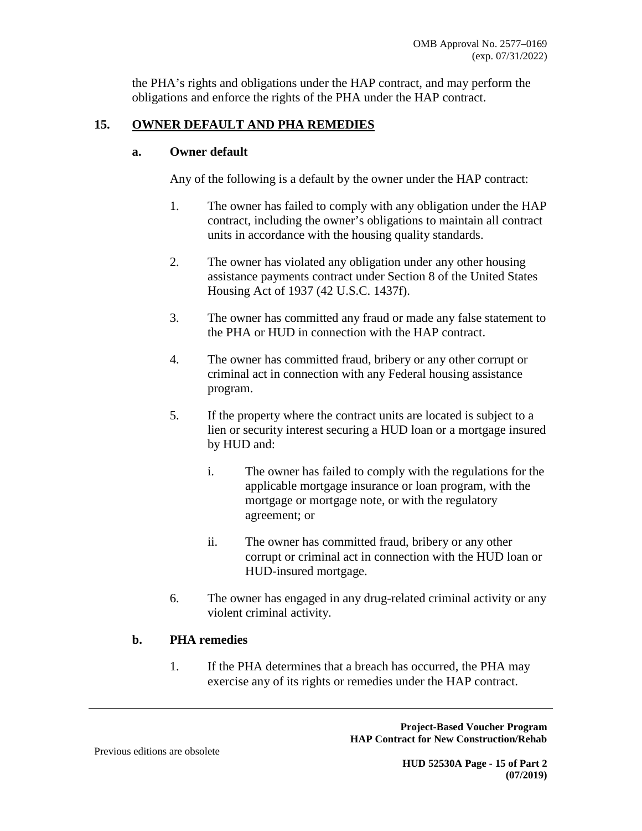the PHA's rights and obligations under the HAP contract, and may perform the obligations and enforce the rights of the PHA under the HAP contract.

# **15. OWNER DEFAULT AND PHA REMEDIES**

#### **a. Owner default**

Any of the following is a default by the owner under the HAP contract:

- 1. The owner has failed to comply with any obligation under the HAP contract, including the owner's obligations to maintain all contract units in accordance with the housing quality standards.
- 2. The owner has violated any obligation under any other housing assistance payments contract under Section 8 of the United States Housing Act of 1937 (42 U.S.C. 1437f).
- 3. The owner has committed any fraud or made any false statement to the PHA or HUD in connection with the HAP contract.
- 4. The owner has committed fraud, bribery or any other corrupt or criminal act in connection with any Federal housing assistance program.
- 5. If the property where the contract units are located is subject to a lien or security interest securing a HUD loan or a mortgage insured by HUD and:
	- i. The owner has failed to comply with the regulations for the applicable mortgage insurance or loan program, with the mortgage or mortgage note, or with the regulatory agreement; or
	- ii. The owner has committed fraud, bribery or any other corrupt or criminal act in connection with the HUD loan or HUD-insured mortgage.
- 6. The owner has engaged in any drug-related criminal activity or any violent criminal activity.

## **b. PHA remedies**

1. If the PHA determines that a breach has occurred, the PHA may exercise any of its rights or remedies under the HAP contract.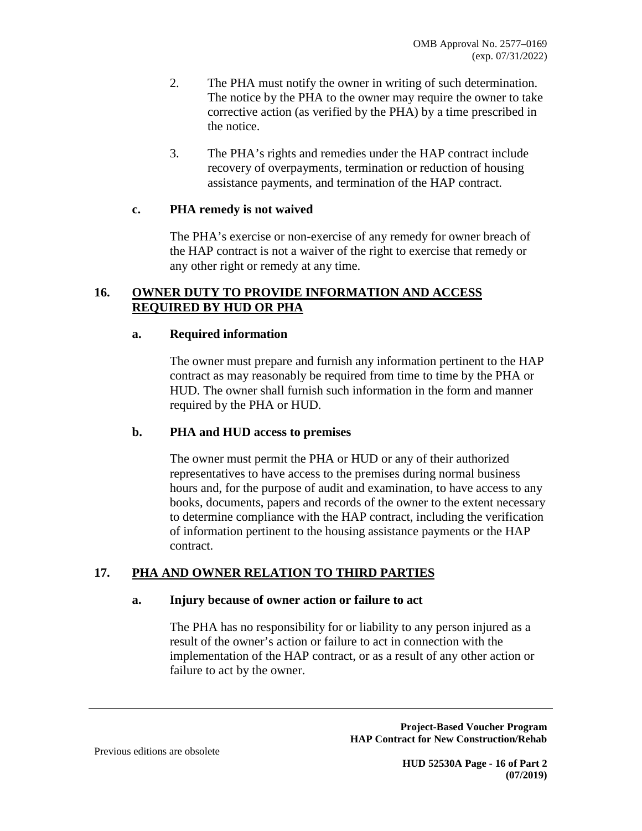- 2. The PHA must notify the owner in writing of such determination. The notice by the PHA to the owner may require the owner to take corrective action (as verified by the PHA) by a time prescribed in the notice.
- 3. The PHA's rights and remedies under the HAP contract include recovery of overpayments, termination or reduction of housing assistance payments, and termination of the HAP contract.

#### **c. PHA remedy is not waived**

The PHA's exercise or non-exercise of any remedy for owner breach of the HAP contract is not a waiver of the right to exercise that remedy or any other right or remedy at any time.

## **16. OWNER DUTY TO PROVIDE INFORMATION AND ACCESS REQUIRED BY HUD OR PHA**

#### **a. Required information**

The owner must prepare and furnish any information pertinent to the HAP contract as may reasonably be required from time to time by the PHA or HUD. The owner shall furnish such information in the form and manner required by the PHA or HUD.

#### **b. PHA and HUD access to premises**

The owner must permit the PHA or HUD or any of their authorized representatives to have access to the premises during normal business hours and, for the purpose of audit and examination, to have access to any books, documents, papers and records of the owner to the extent necessary to determine compliance with the HAP contract, including the verification of information pertinent to the housing assistance payments or the HAP contract.

## **17. PHA AND OWNER RELATION TO THIRD PARTIES**

#### **a. Injury because of owner action or failure to act**

The PHA has no responsibility for or liability to any person injured as a result of the owner's action or failure to act in connection with the implementation of the HAP contract, or as a result of any other action or failure to act by the owner.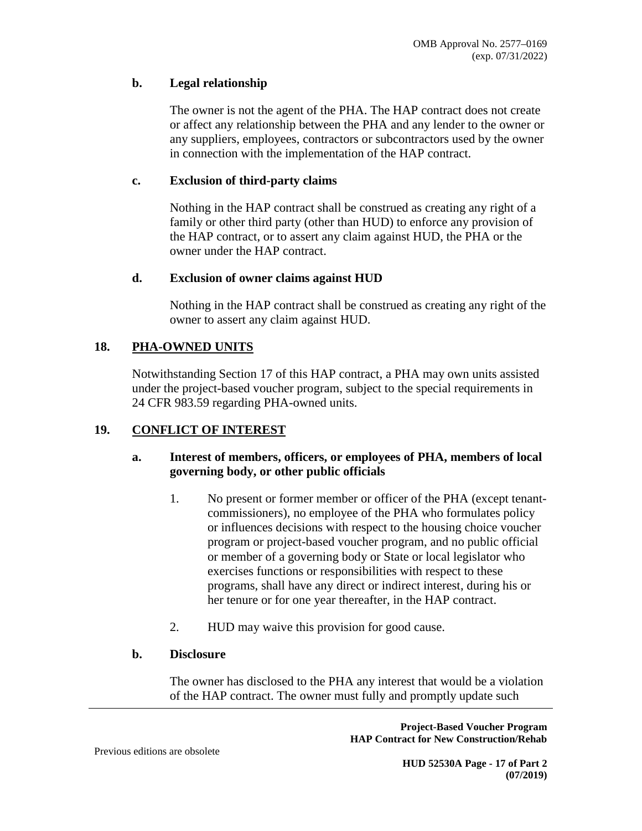### **b. Legal relationship**

The owner is not the agent of the PHA. The HAP contract does not create or affect any relationship between the PHA and any lender to the owner or any suppliers, employees, contractors or subcontractors used by the owner in connection with the implementation of the HAP contract.

### **c. Exclusion of third-party claims**

Nothing in the HAP contract shall be construed as creating any right of a family or other third party (other than HUD) to enforce any provision of the HAP contract, or to assert any claim against HUD, the PHA or the owner under the HAP contract.

#### **d. Exclusion of owner claims against HUD**

Nothing in the HAP contract shall be construed as creating any right of the owner to assert any claim against HUD.

## **18. PHA-OWNED UNITS**

Notwithstanding Section 17 of this HAP contract, a PHA may own units assisted under the project-based voucher program, subject to the special requirements in 24 CFR 983.59 regarding PHA-owned units.

## **19. CONFLICT OF INTEREST**

### **a. Interest of members, officers, or employees of PHA, members of local governing body, or other public officials**

- 1. No present or former member or officer of the PHA (except tenantcommissioners), no employee of the PHA who formulates policy or influences decisions with respect to the housing choice voucher program or project-based voucher program, and no public official or member of a governing body or State or local legislator who exercises functions or responsibilities with respect to these programs, shall have any direct or indirect interest, during his or her tenure or for one year thereafter, in the HAP contract.
- 2. HUD may waive this provision for good cause.

#### **b. Disclosure**

The owner has disclosed to the PHA any interest that would be a violation of the HAP contract. The owner must fully and promptly update such

> **Project-Based Voucher Program HAP Contract for New Construction/Rehab**

Previous editions are obsolete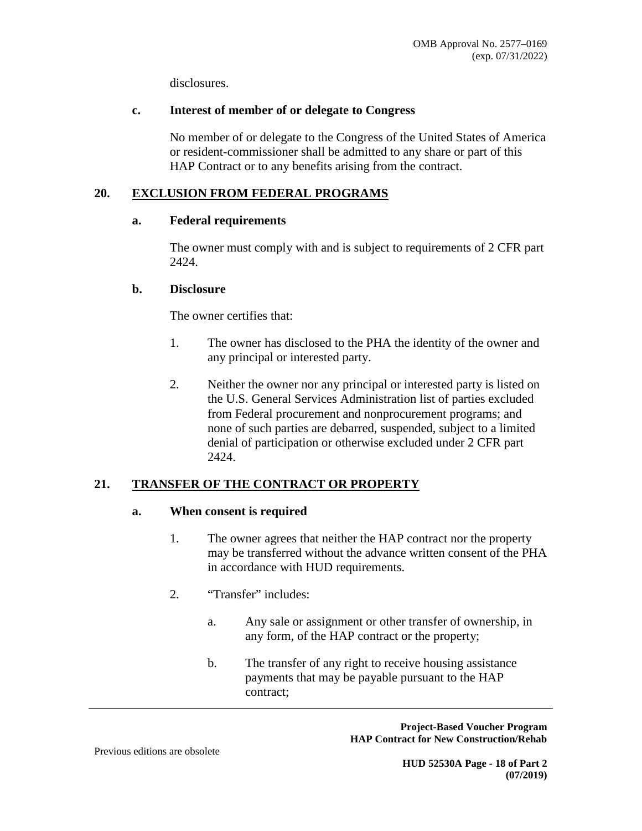disclosures.

### **c. Interest of member of or delegate to Congress**

No member of or delegate to the Congress of the United States of America or resident-commissioner shall be admitted to any share or part of this HAP Contract or to any benefits arising from the contract.

# **20. EXCLUSION FROM FEDERAL PROGRAMS**

### **a. Federal requirements**

The owner must comply with and is subject to requirements of 2 CFR part 2424.

### **b. Disclosure**

The owner certifies that:

- 1. The owner has disclosed to the PHA the identity of the owner and any principal or interested party.
- 2. Neither the owner nor any principal or interested party is listed on the U.S. General Services Administration list of parties excluded from Federal procurement and nonprocurement programs; and none of such parties are debarred, suspended, subject to a limited denial of participation or otherwise excluded under 2 CFR part 2424.

## **21. TRANSFER OF THE CONTRACT OR PROPERTY**

#### **a. When consent is required**

- 1. The owner agrees that neither the HAP contract nor the property may be transferred without the advance written consent of the PHA in accordance with HUD requirements.
- 2. "Transfer" includes:
	- a. Any sale or assignment or other transfer of ownership, in any form, of the HAP contract or the property;
	- b. The transfer of any right to receive housing assistance payments that may be payable pursuant to the HAP contract;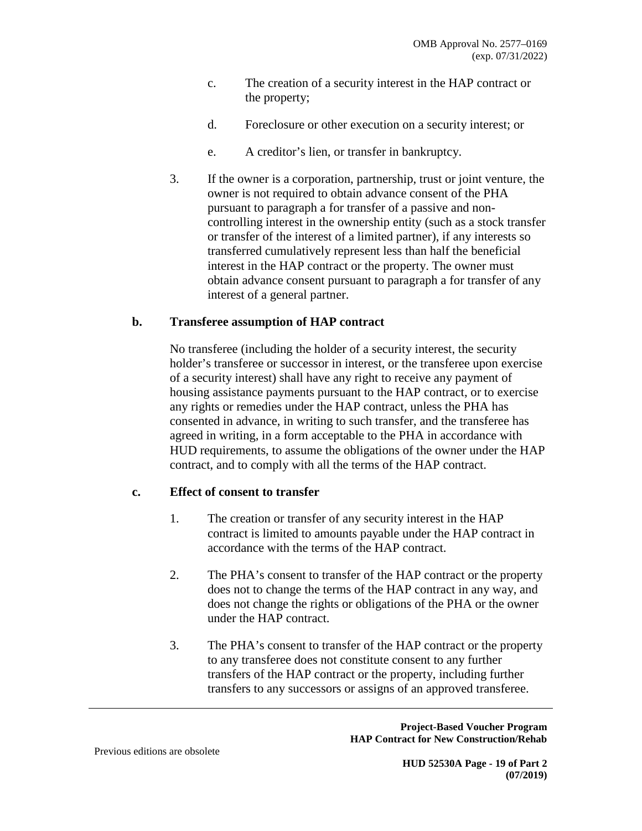- c. The creation of a security interest in the HAP contract or the property;
- d. Foreclosure or other execution on a security interest; or
- e. A creditor's lien, or transfer in bankruptcy.
- 3. If the owner is a corporation, partnership, trust or joint venture, the owner is not required to obtain advance consent of the PHA pursuant to paragraph a for transfer of a passive and noncontrolling interest in the ownership entity (such as a stock transfer or transfer of the interest of a limited partner), if any interests so transferred cumulatively represent less than half the beneficial interest in the HAP contract or the property. The owner must obtain advance consent pursuant to paragraph a for transfer of any interest of a general partner.

## **b. Transferee assumption of HAP contract**

No transferee (including the holder of a security interest, the security holder's transferee or successor in interest, or the transferee upon exercise of a security interest) shall have any right to receive any payment of housing assistance payments pursuant to the HAP contract, or to exercise any rights or remedies under the HAP contract, unless the PHA has consented in advance, in writing to such transfer, and the transferee has agreed in writing, in a form acceptable to the PHA in accordance with HUD requirements, to assume the obligations of the owner under the HAP contract, and to comply with all the terms of the HAP contract.

#### **c. Effect of consent to transfer**

- 1. The creation or transfer of any security interest in the HAP contract is limited to amounts payable under the HAP contract in accordance with the terms of the HAP contract.
- 2. The PHA's consent to transfer of the HAP contract or the property does not to change the terms of the HAP contract in any way, and does not change the rights or obligations of the PHA or the owner under the HAP contract.
- 3. The PHA's consent to transfer of the HAP contract or the property to any transferee does not constitute consent to any further transfers of the HAP contract or the property, including further transfers to any successors or assigns of an approved transferee.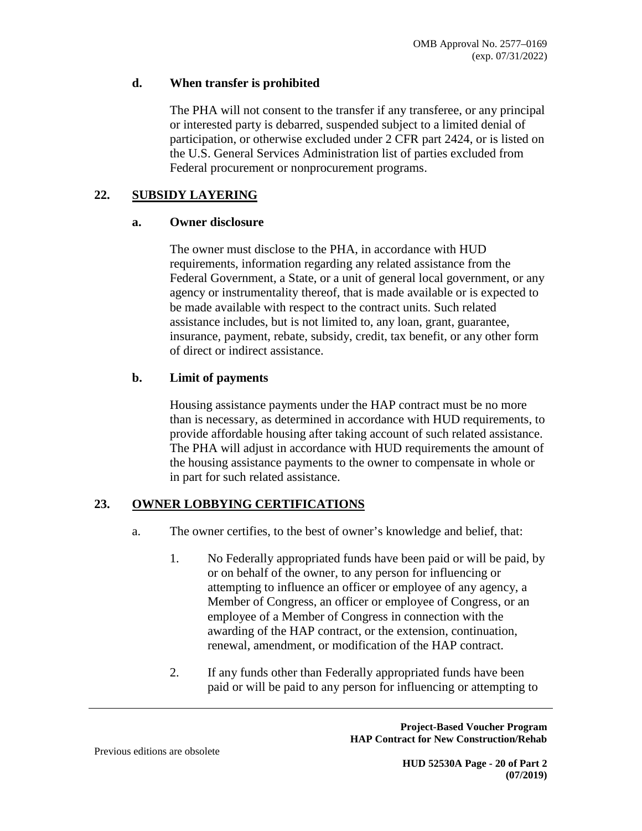### **d. When transfer is prohibited**

The PHA will not consent to the transfer if any transferee, or any principal or interested party is debarred, suspended subject to a limited denial of participation, or otherwise excluded under 2 CFR part 2424, or is listed on the U.S. General Services Administration list of parties excluded from Federal procurement or nonprocurement programs.

## **22. SUBSIDY LAYERING**

#### **a. Owner disclosure**

The owner must disclose to the PHA, in accordance with HUD requirements, information regarding any related assistance from the Federal Government, a State, or a unit of general local government, or any agency or instrumentality thereof, that is made available or is expected to be made available with respect to the contract units. Such related assistance includes, but is not limited to, any loan, grant, guarantee, insurance, payment, rebate, subsidy, credit, tax benefit, or any other form of direct or indirect assistance.

## **b. Limit of payments**

Housing assistance payments under the HAP contract must be no more than is necessary, as determined in accordance with HUD requirements, to provide affordable housing after taking account of such related assistance. The PHA will adjust in accordance with HUD requirements the amount of the housing assistance payments to the owner to compensate in whole or in part for such related assistance.

## **23. OWNER LOBBYING CERTIFICATIONS**

- a. The owner certifies, to the best of owner's knowledge and belief, that:
	- 1. No Federally appropriated funds have been paid or will be paid, by or on behalf of the owner, to any person for influencing or attempting to influence an officer or employee of any agency, a Member of Congress, an officer or employee of Congress, or an employee of a Member of Congress in connection with the awarding of the HAP contract, or the extension, continuation, renewal, amendment, or modification of the HAP contract.
	- 2. If any funds other than Federally appropriated funds have been paid or will be paid to any person for influencing or attempting to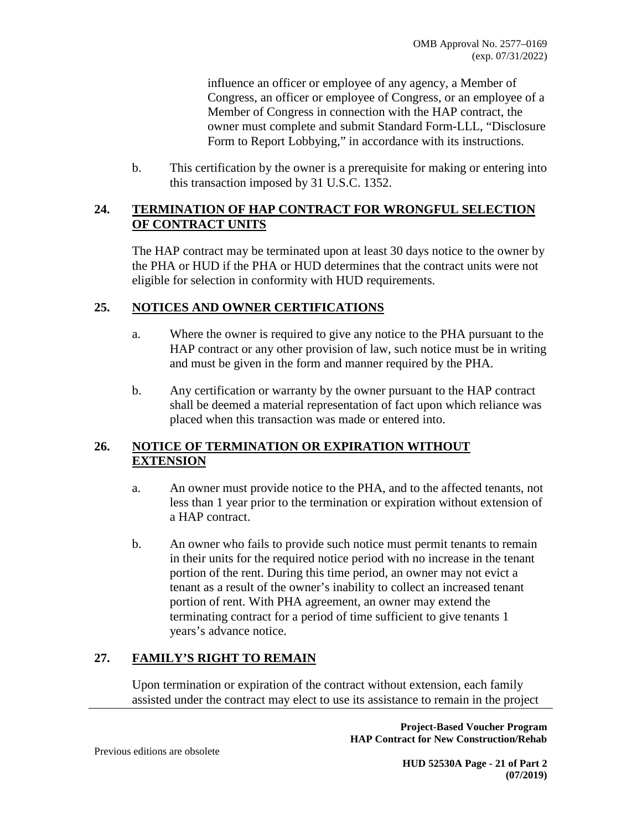influence an officer or employee of any agency, a Member of Congress, an officer or employee of Congress, or an employee of a Member of Congress in connection with the HAP contract, the owner must complete and submit Standard Form-LLL, "Disclosure Form to Report Lobbying," in accordance with its instructions.

b. This certification by the owner is a prerequisite for making or entering into this transaction imposed by 31 U.S.C. 1352.

### **24. TERMINATION OF HAP CONTRACT FOR WRONGFUL SELECTION OF CONTRACT UNITS**

The HAP contract may be terminated upon at least 30 days notice to the owner by the PHA or HUD if the PHA or HUD determines that the contract units were not eligible for selection in conformity with HUD requirements.

## **25. NOTICES AND OWNER CERTIFICATIONS**

- a. Where the owner is required to give any notice to the PHA pursuant to the HAP contract or any other provision of law, such notice must be in writing and must be given in the form and manner required by the PHA.
- b. Any certification or warranty by the owner pursuant to the HAP contract shall be deemed a material representation of fact upon which reliance was placed when this transaction was made or entered into.

## **26. NOTICE OF TERMINATION OR EXPIRATION WITHOUT EXTENSION**

- a. An owner must provide notice to the PHA, and to the affected tenants, not less than 1 year prior to the termination or expiration without extension of a HAP contract.
- b. An owner who fails to provide such notice must permit tenants to remain in their units for the required notice period with no increase in the tenant portion of the rent. During this time period, an owner may not evict a tenant as a result of the owner's inability to collect an increased tenant portion of rent. With PHA agreement, an owner may extend the terminating contract for a period of time sufficient to give tenants 1 years's advance notice.

# **27. FAMILY'S RIGHT TO REMAIN**

Upon termination or expiration of the contract without extension, each family assisted under the contract may elect to use its assistance to remain in the project

> **Project-Based Voucher Program HAP Contract for New Construction/Rehab**

Previous editions are obsolete

**HUD 52530A Page - 21 of Part 2 (07/2019)**